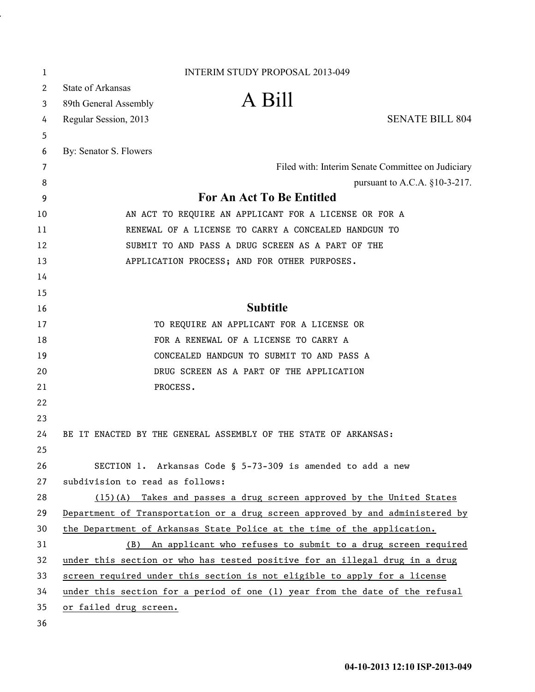| 1  | <b>INTERIM STUDY PROPOSAL 2013-049</b>                                        |
|----|-------------------------------------------------------------------------------|
| 2  | <b>State of Arkansas</b>                                                      |
| 3  | A Bill<br>89th General Assembly                                               |
| 4  | <b>SENATE BILL 804</b><br>Regular Session, 2013                               |
| 5  |                                                                               |
| 6  | By: Senator S. Flowers                                                        |
| 7  | Filed with: Interim Senate Committee on Judiciary                             |
| 8  | pursuant to A.C.A. $§10-3-217$ .                                              |
| 9  | For An Act To Be Entitled                                                     |
| 10 | AN ACT TO REQUIRE AN APPLICANT FOR A LICENSE OR FOR A                         |
| 11 | RENEWAL OF A LICENSE TO CARRY A CONCEALED HANDGUN TO                          |
| 12 | SUBMIT TO AND PASS A DRUG SCREEN AS A PART OF THE                             |
| 13 | APPLICATION PROCESS; AND FOR OTHER PURPOSES.                                  |
| 14 |                                                                               |
| 15 |                                                                               |
| 16 | <b>Subtitle</b>                                                               |
| 17 | TO REQUIRE AN APPLICANT FOR A LICENSE OR                                      |
| 18 | FOR A RENEWAL OF A LICENSE TO CARRY A                                         |
| 19 | CONCEALED HANDGUN TO SUBMIT TO AND PASS A                                     |
| 20 | DRUG SCREEN AS A PART OF THE APPLICATION                                      |
| 21 | PROCESS.                                                                      |
| 22 |                                                                               |
| 23 |                                                                               |
| 24 | BE IT ENACTED BY THE GENERAL ASSEMBLY OF THE STATE OF ARKANSAS:               |
| 25 |                                                                               |
| 26 | SECTION 1. Arkansas Code § 5-73-309 is amended to add a new                   |
| 27 | subdivision to read as follows:                                               |
| 28 | (15)(A) Takes and passes a drug screen approved by the United States          |
| 29 | Department of Transportation or a drug screen approved by and administered by |
| 30 | the Department of Arkansas State Police at the time of the application.       |
| 31 | (B) An applicant who refuses to submit to a drug screen required              |
| 32 | under this section or who has tested positive for an illegal drug in a drug   |
| 33 | screen required under this section is not eligible to apply for a license     |
| 34 | under this section for a period of one (1) year from the date of the refusal  |
| 35 | or failed drug screen.                                                        |
| 36 |                                                                               |

.